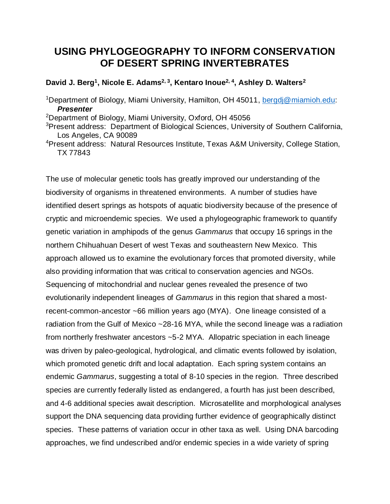## **USING PHYLOGEOGRAPHY TO INFORM CONSERVATION OF DESERT SPRING INVERTEBRATES**

## **David J. Berg<sup>1</sup> , Nicole E. Adams2, 3 , Kentaro Inoue2, 4, Ashley D. Walters<sup>2</sup>**

<sup>1</sup>Department of Biology, Miami University, Hamilton, OH 45011, [bergdj@miamioh.edu:](mailto:bergdj@miamioh.edu) *Presenter*

<sup>2</sup>Department of Biology, Miami University, Oxford, OH 45056

<sup>3</sup> Present address: Department of Biological Sciences, University of Southern California, Los Angeles, CA 90089

The use of molecular genetic tools has greatly improved our understanding of the biodiversity of organisms in threatened environments. A number of studies have identified desert springs as hotspots of aquatic biodiversity because of the presence of cryptic and microendemic species. We used a phylogeographic framework to quantify genetic variation in amphipods of the genus *Gammarus* that occupy 16 springs in the northern Chihuahuan Desert of west Texas and southeastern New Mexico. This approach allowed us to examine the evolutionary forces that promoted diversity, while also providing information that was critical to conservation agencies and NGOs. Sequencing of mitochondrial and nuclear genes revealed the presence of two evolutionarily independent lineages of *Gammarus* in this region that shared a mostrecent-common-ancestor ~66 million years ago (MYA). One lineage consisted of a radiation from the Gulf of Mexico ~28-16 MYA, while the second lineage was a radiation from northerly freshwater ancestors ~5-2 MYA. Allopatric speciation in each lineage was driven by paleo-geological, hydrological, and climatic events followed by isolation, which promoted genetic drift and local adaptation. Each spring system contains an endemic *Gammarus*, suggesting a total of 8-10 species in the region. Three described species are currently federally listed as endangered, a fourth has just been described, and 4-6 additional species await description. Microsatellite and morphological analyses support the DNA sequencing data providing further evidence of geographically distinct species. These patterns of variation occur in other taxa as well. Using DNA barcoding approaches, we find undescribed and/or endemic species in a wide variety of spring

<sup>4</sup>Present address: Natural Resources Institute, Texas A&M University, College Station, TX 77843